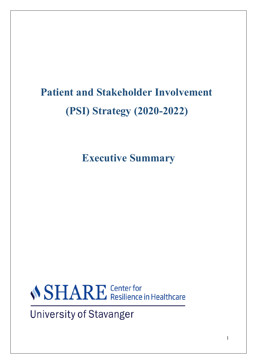## **Patient and Stakeholder Involvement (PSI) Strategy (2020-2022)**

**Executive Summary**

*SHARE* Center for<br>Resilience in Healthcare

**University of Stavanger**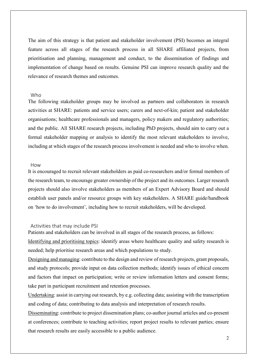The aim of this strategy is that patient and stakeholder involvement (PSI) becomes an integral feature across all stages of the research process in all SHARE affiliated projects, from prioritisation and planning, management and conduct, to the dissemination of findings and implementation of change based on results. Genuine PSI can improve research quality and the relevance of research themes and outcomes.

## Who

The following stakeholder groups may be involved as partners and collaborators in research activities at SHARE: patients and service users; carers and next-of-kin; patient and stakeholder organisations; healthcare professionals and managers, policy makers and regulatory authorities; and the public. All SHARE research projects, including PhD projects, should aim to carry out a formal stakeholder mapping or analysis to identify the most relevant stakeholders to involve, including at which stages of the research process involvement is needed and who to involve when.

## How

It is encouraged to recruit relevant stakeholders as paid co-researchers and/or formal members of the research team, to encourage greater ownership of the project and its outcomes. Larger research projects should also involve stakeholders as members of an Expert Advisory Board and should establish user panels and/or resource groups with key stakeholders. A SHARE guide/handbook on 'how to do involvement', including how to recruit stakeholders, will be developed.

## Activities that may include PSI

Patients and stakeholders can be involved in all stages of the research process, as follows:

Identifying and prioritising topics: identify areas where healthcare quality and safety research is needed; help prioritise research areas and which populations to study.

Designing and managing: contribute to the design and review of research projects, grant proposals, and study protocols; provide input on data collection methods; identify issues of ethical concern and factors that impact on participation; write or review information letters and consent forms; take part in participant recruitment and retention processes.

Undertaking: assist in carrying out research, by e.g. collecting data; assisting with the transcription and coding of data; contributing to data analysis and interpretation of research results.

Disseminating: contribute to project dissemination plans; co-author journal articles and co-present at conferences; contribute to teaching activities; report project results to relevant parties; ensure that research results are easily accessible to a public audience.